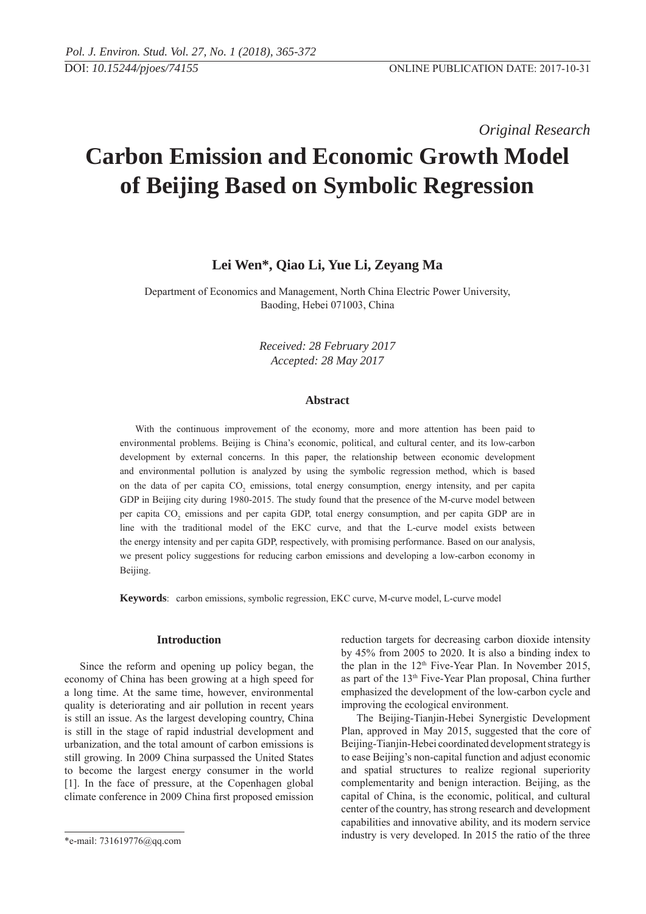*Original Research* 

# **Carbon Emission and Economic Growth Model of Beijing Based on Symbolic Regression**

## **Lei Wen\*, Qiao Li, Yue Li, Zeyang Ma**

Department of Economics and Management, North China Electric Power University, Baoding, Hebei 071003, China

> *Received: 28 February 2017 Accepted: 28 May 2017*

## **Abstract**

With the continuous improvement of the economy, more and more attention has been paid to environmental problems. Beijing is China's economic, political, and cultural center, and its low-carbon development by external concerns. In this paper, the relationship between economic development and environmental pollution is analyzed by using the symbolic regression method, which is based on the data of per capita CO<sub>2</sub> emissions, total energy consumption, energy intensity, and per capita GDP in Beijing city during 1980-2015. The study found that the presence of the M-curve model between per capita CO<sub>2</sub> emissions and per capita GDP, total energy consumption, and per capita GDP are in line with the traditional model of the EKC curve, and that the L-curve model exists between the energy intensity and per capita GDP, respectively, with promising performance. Based on our analysis, we present policy suggestions for reducing carbon emissions and developing a low-carbon economy in Beijing.

**Keywords**: carbon emissions, symbolic regression, EKC curve, M-curve model, L-curve model

## **Introduction**

Since the reform and opening up policy began, the economy of China has been growing at a high speed for a long time. At the same time, however, environmental quality is deteriorating and air pollution in recent years is still an issue. As the largest developing country, China is still in the stage of rapid industrial development and urbanization, and the total amount of carbon emissions is still growing. In 2009 China surpassed the United States to become the largest energy consumer in the world [1]. In the face of pressure, at the Copenhagen global climate conference in 2009 China first proposed emission reduction targets for decreasing carbon dioxide intensity by 45% from 2005 to 2020. It is also a binding index to the plan in the  $12<sup>th</sup>$  Five-Year Plan. In November 2015, as part of the 13th Five-Year Plan proposal, China further emphasized the development of the low-carbon cycle and improving the ecological environment.

The Beijing-Tianjin-Hebei Synergistic Development Plan, approved in May 2015, suggested that the core of Beijing-Tianjin-Hebei coordinated development strategy is to ease Beijing's non-capital function and adjust economic and spatial structures to realize regional superiority complementarity and benign interaction. Beijing, as the capital of China, is the economic, political, and cultural center of the country, has strong research and development capabilities and innovative ability, and its modern service industry is very developed. In 2015 the ratio of the three

<sup>\*</sup>e-mail: 731619776@qq.com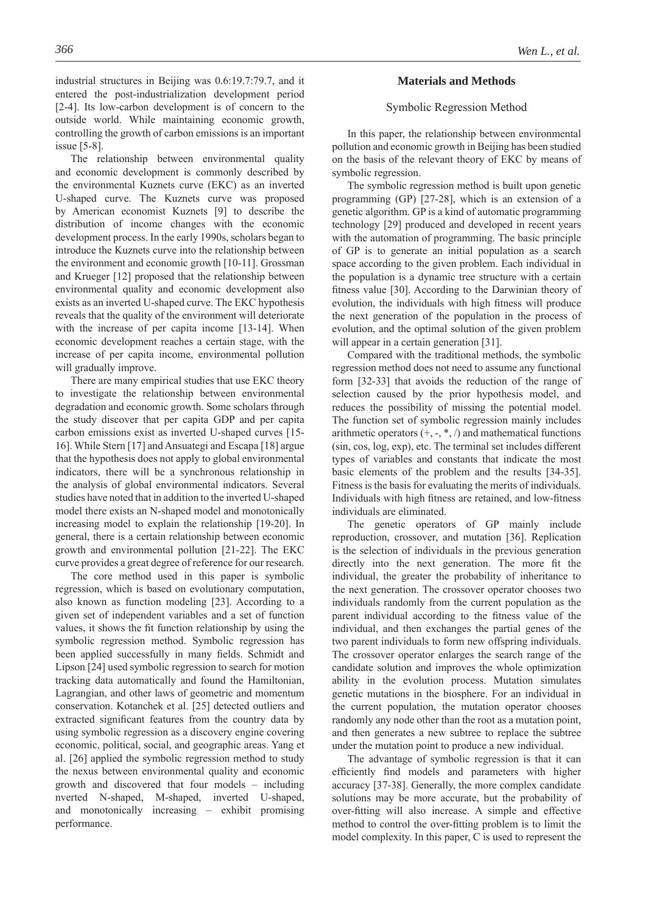industrial structures in Beijing was 0.6:19.7:79.7, and it entered the post-industrialization development period [2-4]. Its low-carbon development is of concern to the outside world. While maintaining economic growth, controlling the growth of carbon emissions is an important issue [5-8].

The relationship between environmental quality and economic development is commonly described by the environmental Kuznets curve (EKC) as an inverted U-shaped curve. The Kuznets curve was proposed by American economist Kuznets [9] to describe the distribution of income changes with the economic development process. In the early 1990s, scholars began to introduce the Kuznets curve into the relationship between the environment and economic growth [10-11]. Grossman and Krueger [12] proposed that the relationship between environmental quality and economic development also exists as an inverted U-shaped curve. The EKC hypothesis reveals that the quality of the environment will deteriorate with the increase of per capita income [13-14]. When economic development reaches a certain stage, with the increase of per capita income, environmental pollution will gradually improve.

There are many empirical studies that use EKC theory to investigate the relationship between environmental degradation and economic growth. Some scholars through the study discover that per capita GDP and per capita carbon emissions exist as inverted U-shaped curves [15- 16]. While Stern [17] and Ansuategi and Escapa [18] argue that the hypothesis does not apply to global environmental indicators, there will be a synchronous relationship in the analysis of global environmental indicators. Several studies have noted that in addition to the inverted U-shaped model there exists an N-shaped model and monotonically increasing model to explain the relationship [19-20]. In general, there is a certain relationship between economic growth and environmental pollution [21-22]. The EKC curve provides a great degree of reference for our research.

The core method used in this paper is symbolic regression, which is based on evolutionary computation, also known as function modeling [23]. According to a given set of independent variables and a set of function values, it shows the fit function relationship by using the symbolic regression method. Symbolic regression has been applied successfully in many fields. Schmidt and Lipson [24] used symbolic regression to search for motion tracking data automatically and found the Hamiltonian, Lagrangian, and other laws of geometric and momentum conservation. Kotanchek et al. [25] detected outliers and extracted significant features from the country data by using symbolic regression as a discovery engine covering economic, political, social, and geographic areas. Yang et al. [26] applied the symbolic regression method to study the nexus between environmental quality and economic growth and discovered that four models – including nverted N-shaped, M-shaped, inverted U-shaped, and monotonically increasing – exhibit promising performance.

#### **Materials and Methods**

## Symbolic Regression Method

In this paper, the relationship between environmental pollution and economic growth in Beijing has been studied on the basis of the relevant theory of EKC by means of symbolic regression.

The symbolic regression method is built upon genetic programming (GP) [27-28], which is an extension of a genetic algorithm. GP is a kind of automatic programming technology [29] produced and developed in recent years with the automation of programming. The basic principle of GP is to generate an initial population as a search space according to the given problem. Each individual in the population is a dynamic tree structure with a certain fitness value [30]. According to the Darwinian theory of evolution, the individuals with high fitness will produce the next generation of the population in the process of evolution, and the optimal solution of the given problem will appear in a certain generation [31].

Compared with the traditional methods, the symbolic regression method does not need to assume any functional form [32-33] that avoids the reduction of the range of selection caused by the prior hypothesis model, and reduces the possibility of missing the potential model. The function set of symbolic regression mainly includes arithmetic operators  $(+, -, *, /)$  and mathematical functions (sin, cos, log, exp), etc. The terminal set includes different types of variables and constants that indicate the most basic elements of the problem and the results [34-35]. Fitness is the basis for evaluating the merits of individuals. Individuals with high fitness are retained, and low-fitness individuals are eliminated.

The genetic operators of GP mainly include reproduction, crossover, and mutation [36]. Replication is the selection of individuals in the previous generation directly into the next generation. The more fit the individual, the greater the probability of inheritance to the next generation. The crossover operator chooses two individuals randomly from the current population as the parent individual according to the fitness value of the individual, and then exchanges the partial genes of the two parent individuals to form new offspring individuals. The crossover operator enlarges the search range of the candidate solution and improves the whole optimization ability in the evolution process. Mutation simulates genetic mutations in the biosphere. For an individual in the current population, the mutation operator chooses randomly any node other than the root as a mutation point, and then generates a new subtree to replace the subtree under the mutation point to produce a new individual.

The advantage of symbolic regression is that it can efficiently find models and parameters with higher accuracy [37-38]. Generally, the more complex candidate solutions may be more accurate, but the probability of over-fitting will also increase. A simple and effective method to control the over-fitting problem is to limit the model complexity. In this paper, C is used to represent the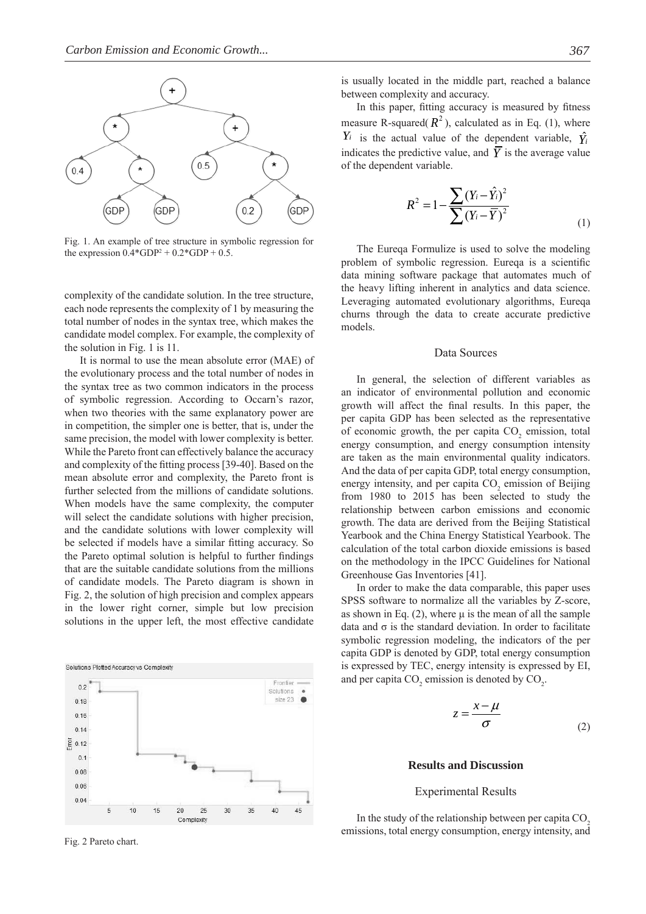

Fig. 1. An example of tree structure in symbolic regression for the expression  $0.4*GDP^2 + 0.2*GDP + 0.5$ .

complexity of the candidate solution. In the tree structure, each node represents the complexity of 1 by measuring the total number of nodes in the syntax tree, which makes the candidate model complex. For example, the complexity of the solution in Fig. 1 is 11.

It is normal to use the mean absolute error (MAE) of the evolutionary process and the total number of nodes in the syntax tree as two common indicators in the process of symbolic regression. According to Occarn's razor, when two theories with the same explanatory power are in competition, the simpler one is better, that is, under the same precision, the model with lower complexity is better. While the Pareto front can effectively balance the accuracy and complexity of the fitting process [39-40]. Based on the mean absolute error and complexity, the Pareto front is further selected from the millions of candidate solutions. When models have the same complexity, the computer will select the candidate solutions with higher precision, and the candidate solutions with lower complexity will be selected if models have a similar fitting accuracy. So the Pareto optimal solution is helpful to further findings that are the suitable candidate solutions from the millions of candidate models. The Pareto diagram is shown in Fig. 2, the solution of high precision and complex appears in the lower right corner, simple but low precision solutions in the upper left, the most effective candidate



Fig. 2 Pareto chart.

is usually located in the middle part, reached a balance between complexity and accuracy.

In this paper, fitting accuracy is measured by fitness measure R-squared( $R^2$ ), calculated as in Eq. (1), where  $Y_i$  is the actual value of the dependent variable,  $\hat{Y_i}$ indicates the predictive value, and  $\overline{Y}$  is the average value of the dependent variable.

$$
R^{2} = 1 - \frac{\sum (Y_{i} - \hat{Y}_{i})^{2}}{\sum (Y_{i} - \overline{Y})^{2}}
$$
\n(1)

The Eureqa Formulize is used to solve the modeling problem of symbolic regression. Eurega is a scientific data mining software package that automates much of the heavy lifting inherent in analytics and data science. Leveraging automated evolutionary algorithms, Eureqa churns through the data to create accurate predictive models.

## Data Sources

In general, the selection of different variables as an indicator of environmental pollution and economic growth will affect the final results. In this paper, the per capita GDP has been selected as the representative of economic growth, the per capita  $CO<sub>2</sub>$  emission, total energy consumption, and energy consumption intensity are taken as the main environmental quality indicators. And the data of per capita GDP, total energy consumption, energy intensity, and per capita  $CO<sub>2</sub>$  emission of Beijing from 1980 to 2015 has been selected to study the relationship between carbon emissions and economic growth. The data are derived from the Beijing Statistical Yearbook and the China Energy Statistical Yearbook. The calculation of the total carbon dioxide emissions is based on the methodology in the IPCC Guidelines for National Greenhouse Gas Inventories [41].

In order to make the data comparable, this paper uses SPSS software to normalize all the variables by Z-score, as shown in Eq.  $(2)$ , where  $\mu$  is the mean of all the sample data and σ is the standard deviation. In order to facilitate symbolic regression modeling, the indicators of the per capita GDP is denoted by GDP, total energy consumption is expressed by TEC, energy intensity is expressed by EI, and per capita  $CO_2$  emission is denoted by  $CO_2$ .

$$
z = \frac{x - \mu}{\sigma} \tag{2}
$$

## **Results and Discussion**

#### Experimental Results

In the study of the relationship between per capita  $CO<sub>2</sub>$ emissions, total energy consumption, energy intensity, and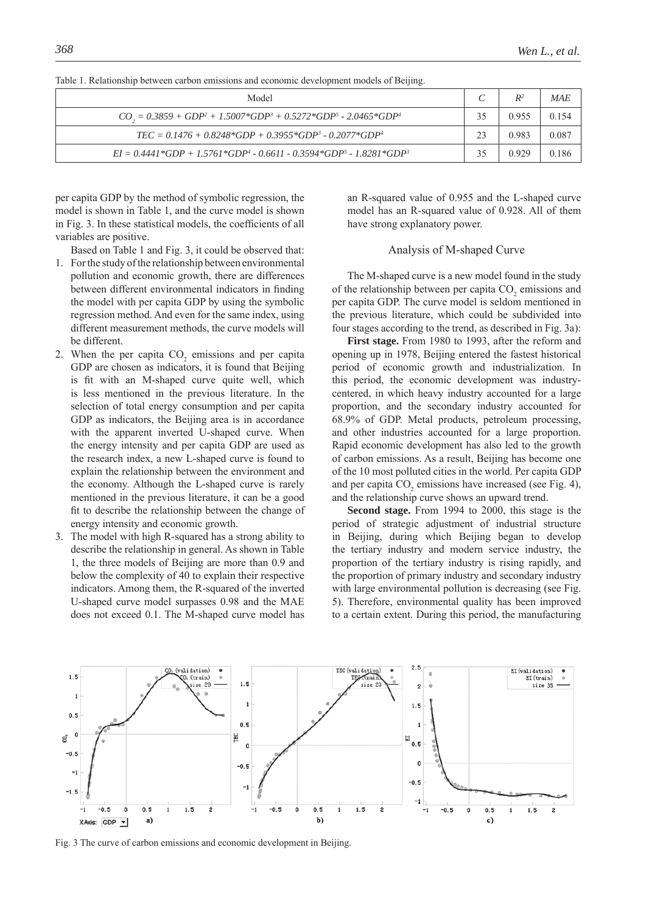| Model                                                                      |    | $R^2$ | MAF   |
|----------------------------------------------------------------------------|----|-------|-------|
| $CO_1 = 0.3859 + GDP^2 + 1.5007 * GDP^3 + 0.5272 * GDP^5 - 2.0465 * GDP^4$ | 35 | 0 955 | 0.154 |
| $TEC = 0.1476 + 0.8248*GDP + 0.3955*GDP3 - 0.2077*GDP4$                    | 23 | 0 983 | 0.087 |
| $EI = 0.4441*GDP + 1.5761*GDP^4 - 0.6611 - 0.3594*GDP^5 - 1.8281*GDP^3$    | 35 | 0.929 | 0.186 |

Table 1. Relationship between carbon emissions and economic development models of Beijing.

per capita GDP by the method of symbolic regression, the model is shown in Table 1, and the curve model is shown in Fig. 3. In these statistical models, the coefficients of all variables are positive.

Based on Table 1 and Fig. 3, it could be observed that:

- 1. For the study of the relationship between environmental pollution and economic growth, there are differences between different environmental indicators in finding the model with per capita GDP by using the symbolic regression method. And even for the same index, using different measurement methods, the curve models will be different.
- 2. When the per capita  $CO<sub>2</sub>$  emissions and per capita GDP are chosen as indicators, it is found that Beijing is fit with an M-shaped curve quite well, which is less mentioned in the previous literature. In the selection of total energy consumption and per capita GDP as indicators, the Beijing area is in accordance with the apparent inverted U-shaped curve. When the energy intensity and per capita GDP are used as the research index, a new L-shaped curve is found to explain the relationship between the environment and the economy. Although the L-shaped curve is rarely mentioned in the previous literature, it can be a good fit to describe the relationship between the change of energy intensity and economic growth.
- 3. The model with high R-squared has a strong ability to describe the relationship in general. As shown in Table 1, the three models of Beijing are more than 0.9 and below the complexity of 40 to explain their respective indicators. Among them, the R-squared of the inverted U-shaped curve model surpasses 0.98 and the MAE does not exceed 0.1. The M-shaped curve model has

an R-squared value of 0.955 and the L-shaped curve model has an R-squared value of 0.928. All of them have strong explanatory power.

## Analysis of M-shaped Curve

The M-shaped curve is a new model found in the study of the relationship between per capita  $CO<sub>2</sub>$  emissions and per capita GDP. The curve model is seldom mentioned in the previous literature, which could be subdivided into four stages according to the trend, as described in Fig. 3a):

**First stage.** From 1980 to 1993, after the reform and opening up in 1978, Beijing entered the fastest historical period of economic growth and industrialization. In this period, the economic development was industrycentered, in which heavy industry accounted for a large proportion, and the secondary industry accounted for 68.9% of GDP. Metal products, petroleum processing, and other industries accounted for a large proportion. Rapid economic development has also led to the growth of carbon emissions. As a result, Beijing has become one of the 10 most polluted cities in the world. Per capita GDP and per capita  $CO<sub>2</sub>$  emissions have increased (see Fig. 4), and the relationship curve shows an upward trend.

**Second stage.** From 1994 to 2000, this stage is the period of strategic adjustment of industrial structure in Beijing, during which Beijing began to develop the tertiary industry and modern service industry, the proportion of the tertiary industry is rising rapidly, and the proportion of primary industry and secondary industry with large environmental pollution is decreasing (see Fig. 5). Therefore, environmental quality has been improved to a certain extent. During this period, the manufacturing



Fig. 3 The curve of carbon emissions and economic development in Beijing.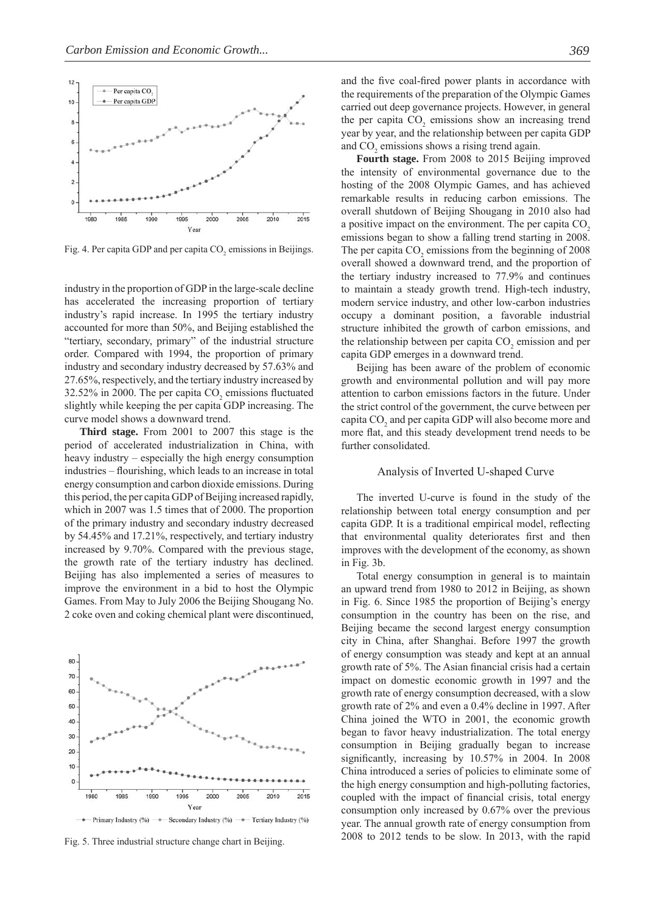

Fig. 4. Per capita GDP and per capita  $CO<sub>2</sub>$  emissions in Beijings.

industry in the proportion of GDP in the large-scale decline has accelerated the increasing proportion of tertiary industry's rapid increase. In 1995 the tertiary industry accounted for more than 50%, and Beijing established the "tertiary, secondary, primary" of the industrial structure order. Compared with 1994, the proportion of primary industry and secondary industry decreased by 57.63% and 27.65%, respectively, and the tertiary industry increased by 32.52% in 2000. The per capita  $CO_2$  emissions fluctuated slightly while keeping the per capita GDP increasing. The curve model shows a downward trend.

**Third stage.** From 2001 to 2007 this stage is the period of accelerated industrialization in China, with heavy industry – especially the high energy consumption industries – flourishing, which leads to an increase in total energy consumption and carbon dioxide emissions. During this period, the per capita GDP of Beijing increased rapidly, which in 2007 was 1.5 times that of 2000. The proportion of the primary industry and secondary industry decreased by 54.45% and 17.21%, respectively, and tertiary industry increased by 9.70%. Compared with the previous stage, the growth rate of the tertiary industry has declined. Beijing has also implemented a series of measures to improve the environment in a bid to host the Olympic Games. From May to July 2006 the Beijing Shougang No. 2 coke oven and coking chemical plant were discontinued,



Fig. 5. Three industrial structure change chart in Beijing.

and the five coal-fired power plants in accordance with the requirements of the preparation of the Olympic Games carried out deep governance projects. However, in general the per capita  $CO<sub>2</sub>$  emissions show an increasing trend year by year, and the relationship between per capita GDP and  $CO<sub>2</sub>$  emissions shows a rising trend again.

**Fourth stage.** From 2008 to 2015 Beijing improved the intensity of environmental governance due to the hosting of the 2008 Olympic Games, and has achieved remarkable results in reducing carbon emissions. The overall shutdown of Beijing Shougang in 2010 also had a positive impact on the environment. The per capita  $CO<sub>2</sub>$ emissions began to show a falling trend starting in 2008. The per capita  $CO<sub>2</sub>$  emissions from the beginning of 2008 overall showed a downward trend, and the proportion of the tertiary industry increased to 77.9% and continues to maintain a steady growth trend. High-tech industry, modern service industry, and other low-carbon industries occupy a dominant position, a favorable industrial structure inhibited the growth of carbon emissions, and the relationship between per capita  $CO<sub>2</sub>$  emission and per capita GDP emerges in a downward trend.

Beijing has been aware of the problem of economic growth and environmental pollution and will pay more attention to carbon emissions factors in the future. Under the strict control of the government, the curve between per capita  $CO<sub>2</sub>$  and per capita GDP will also become more and more flat, and this steady development trend needs to be further consolidated.

## Analysis of Inverted U-shaped Curve

The inverted U-curve is found in the study of the relationship between total energy consumption and per capita GDP. It is a traditional empirical model, reflecting that environmental quality deteriorates first and then improves with the development of the economy, as shown in Fig. 3b.

Total energy consumption in general is to maintain an upward trend from 1980 to 2012 in Beijing, as shown in Fig. 6. Since 1985 the proportion of Beijing's energy consumption in the country has been on the rise, and Beijing became the second largest energy consumption city in China, after Shanghai. Before 1997 the growth of energy consumption was steady and kept at an annual growth rate of 5%. The Asian financial crisis had a certain impact on domestic economic growth in 1997 and the growth rate of energy consumption decreased, with a slow growth rate of 2% and even a 0.4% decline in 1997. After China joined the WTO in 2001, the economic growth began to favor heavy industrialization. The total energy consumption in Beijing gradually began to increase significantly, increasing by 10.57% in 2004. In 2008 China introduced a series of policies to eliminate some of the high energy consumption and high-polluting factories, coupled with the impact of financial crisis, total energy consumption only increased by 0.67% over the previous year. The annual growth rate of energy consumption from 2008 to 2012 tends to be slow. In 2013, with the rapid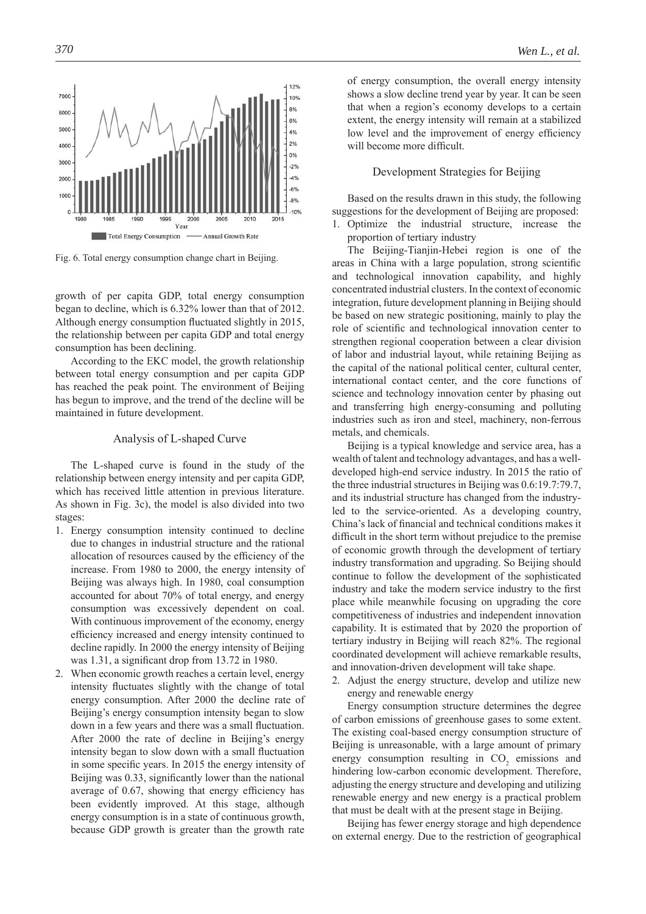

Fig. 6. Total energy consumption change chart in Beijing.

growth of per capita GDP, total energy consumption began to decline, which is 6.32% lower than that of 2012. Although energy consumption fluctuated slightly in 2015, the relationship between per capita GDP and total energy consumption has been declining.

According to the EKC model, the growth relationship between total energy consumption and per capita GDP has reached the peak point. The environment of Beijing has begun to improve, and the trend of the decline will be maintained in future development.

#### Analysis of L-shaped Curve

The L-shaped curve is found in the study of the relationship between energy intensity and per capita GDP, which has received little attention in previous literature. As shown in Fig. 3c), the model is also divided into two stages:

- 1. Energy consumption intensity continued to decline due to changes in industrial structure and the rational allocation of resources caused by the efficiency of the increase. From 1980 to 2000, the energy intensity of Beijing was always high. In 1980, coal consumption accounted for about 70% of total energy, and energy consumption was excessively dependent on coal. With continuous improvement of the economy, energy efficiency increased and energy intensity continued to decline rapidly. In 2000 the energy intensity of Beijing was  $1.31$ , a significant drop from  $13.72$  in 1980.
- 2. When economic growth reaches a certain level, energy intensity fluctuates slightly with the change of total energy consumption. After 2000 the decline rate of Beijing's energy consumption intensity began to slow down in a few years and there was a small fluctuation. After 2000 the rate of decline in Beijing's energy intensity began to slow down with a small fluctuation in some specific years. In 2015 the energy intensity of Beijing was 0.33, significantly lower than the national average of  $0.67$ , showing that energy efficiency has been evidently improved. At this stage, although energy consumption is in a state of continuous growth, because GDP growth is greater than the growth rate

of energy consumption, the overall energy intensity shows a slow decline trend year by year. It can be seen that when a region's economy develops to a certain extent, the energy intensity will remain at a stabilized low level and the improvement of energy efficiency will become more difficult.

## Development Strategies for Beijing

Based on the results drawn in this study, the following suggestions for the development of Beijing are proposed:

1. Optimize the industrial structure, increase the proportion of tertiary industry

The Beijing-Tianjin-Hebei region is one of the areas in China with a large population, strong scientific and technological innovation capability, and highly concentrated industrial clusters. In the context of economic integration, future development planning in Beijing should be based on new strategic positioning, mainly to play the role of scientific and technological innovation center to strengthen regional cooperation between a clear division of labor and industrial layout, while retaining Beijing as the capital of the national political center, cultural center, international contact center, and the core functions of science and technology innovation center by phasing out and transferring high energy-consuming and polluting industries such as iron and steel, machinery, non-ferrous metals, and chemicals.

Beijing is a typical knowledge and service area, has a wealth of talent and technology advantages, and has a welldeveloped high-end service industry. In 2015 the ratio of the three industrial structures in Beijing was 0.6:19.7:79.7, and its industrial structure has changed from the industryled to the service-oriented. As a developing country, China's lack of financial and technical conditions makes it difficult in the short term without prejudice to the premise of economic growth through the development of tertiary industry transformation and upgrading. So Beijing should continue to follow the development of the sophisticated industry and take the modern service industry to the first place while meanwhile focusing on upgrading the core competitiveness of industries and independent innovation capability. It is estimated that by 2020 the proportion of tertiary industry in Beijing will reach 82%. The regional coordinated development will achieve remarkable results, and innovation-driven development will take shape.

2. Adjust the energy structure, develop and utilize new energy and renewable energy

Energy consumption structure determines the degree of carbon emissions of greenhouse gases to some extent. The existing coal-based energy consumption structure of Beijing is unreasonable, with a large amount of primary energy consumption resulting in  $CO<sub>2</sub>$  emissions and hindering low-carbon economic development. Therefore, adjusting the energy structure and developing and utilizing renewable energy and new energy is a practical problem that must be dealt with at the present stage in Beijing.

Beijing has fewer energy storage and high dependence on external energy. Due to the restriction of geographical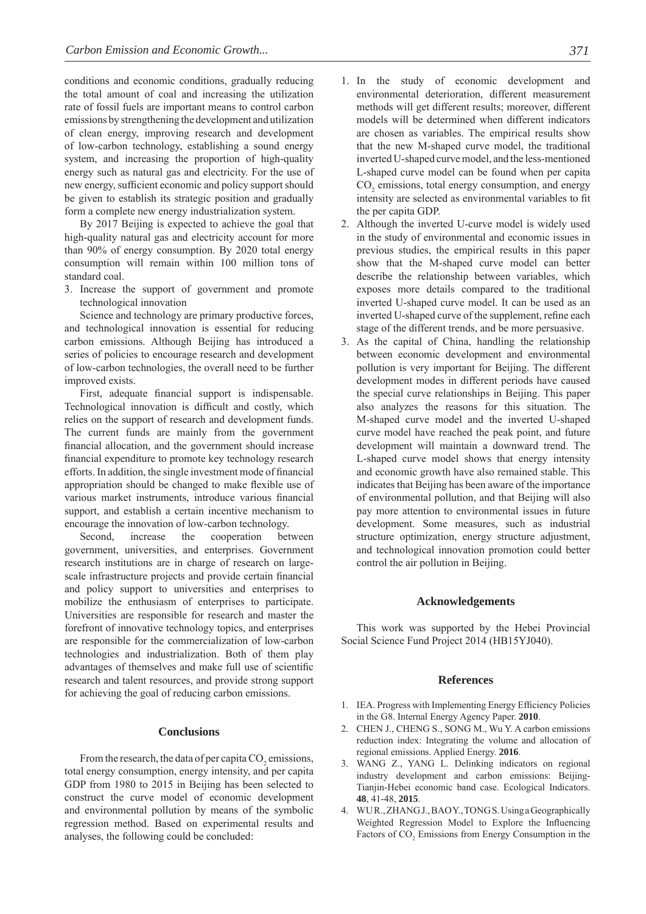conditions and economic conditions, gradually reducing the total amount of coal and increasing the utilization rate of fossil fuels are important means to control carbon emissions by strengthening the development and utilization of clean energy, improving research and development of low-carbon technology, establishing a sound energy system, and increasing the proportion of high-quality energy such as natural gas and electricity. For the use of new energy, sufficient economic and policy support should be given to establish its strategic position and gradually form a complete new energy industrialization system.

By 2017 Beijing is expected to achieve the goal that high-quality natural gas and electricity account for more than 90% of energy consumption. By 2020 total energy consumption will remain within 100 million tons of standard coal.

3. Increase the support of government and promote technological innovation

Science and technology are primary productive forces, and technological innovation is essential for reducing carbon emissions. Although Beijing has introduced a series of policies to encourage research and development of low-carbon technologies, the overall need to be further improved exists.

First, adequate financial support is indispensable. Technological innovation is difficult and costly, which relies on the support of research and development funds. The current funds are mainly from the government financial allocation, and the government should increase financial expenditure to promote key technology research efforts. In addition, the single investment mode of financial appropriation should be changed to make flexible use of various market instruments, introduce various financial support, and establish a certain incentive mechanism to encourage the innovation of low-carbon technology.

Second, increase the cooperation between government, universities, and enterprises. Government research institutions are in charge of research on largescale infrastructure projects and provide certain financial and policy support to universities and enterprises to mobilize the enthusiasm of enterprises to participate. Universities are responsible for research and master the forefront of innovative technology topics, and enterprises are responsible for the commercialization of low-carbon technologies and industrialization. Both of them play advantages of themselves and make full use of scientific research and talent resources, and provide strong support for achieving the goal of reducing carbon emissions.

## **Conclusions**

From the research, the data of per capita  $CO<sub>2</sub>$  emissions, total energy consumption, energy intensity, and per capita GDP from 1980 to 2015 in Beijing has been selected to construct the curve model of economic development and environmental pollution by means of the symbolic regression method. Based on experimental results and analyses, the following could be concluded:

- 1. In the study of economic development and environmental deterioration, different measurement methods will get different results; moreover, different models will be determined when different indicators are chosen as variables. The empirical results show that the new M-shaped curve model, the traditional inverted U-shaped curve model, and the less-mentioned L-shaped curve model can be found when per capita CO<sub>2</sub> emissions, total energy consumption, and energy intensity are selected as environmental variables to fit the per capita GDP.
- 2. Although the inverted U-curve model is widely used in the study of environmental and economic issues in previous studies, the empirical results in this paper show that the M-shaped curve model can better describe the relationship between variables, which exposes more details compared to the traditional inverted U-shaped curve model. It can be used as an inverted U-shaped curve of the supplement, refine each stage of the different trends, and be more persuasive.
- 3. As the capital of China, handling the relationship between economic development and environmental pollution is very important for Beijing. The different development modes in different periods have caused the special curve relationships in Beijing. This paper also analyzes the reasons for this situation. The M-shaped curve model and the inverted U-shaped curve model have reached the peak point, and future development will maintain a downward trend. The L-shaped curve model shows that energy intensity and economic growth have also remained stable. This indicates that Beijing has been aware of the importance of environmental pollution, and that Beijing will also pay more attention to environmental issues in future development. Some measures, such as industrial structure optimization, energy structure adjustment, and technological innovation promotion could better control the air pollution in Beijing.

#### **Acknowledgements**

This work was supported by the Hebei Provincial Social Science Fund Project 2014 (HB15YJ040).

#### **References**

- 1. IEA. Progress with Implementing Energy Efficiency Policies in the G8. Internal Energy Agency Paper. **2010**.
- 2. CHEN J., CHENG S., SONG M., Wu Y. A carbon emissions reduction index: Integrating the volume and allocation of regional emissions. Applied Energy. **2016**.
- 3. WANG Z., YANG L. Delinking indicators on regional industry development and carbon emissions: Beijing-Tianjin-Hebei economic band case. Ecological Indicators. **48**, 41-48, **2015**.
- 4. WU R., ZHANG J., BAO Y., TONG S. Using a Geographically Weighted Regression Model to Explore the Influencing Factors of  $CO<sub>2</sub>$  Emissions from Energy Consumption in the